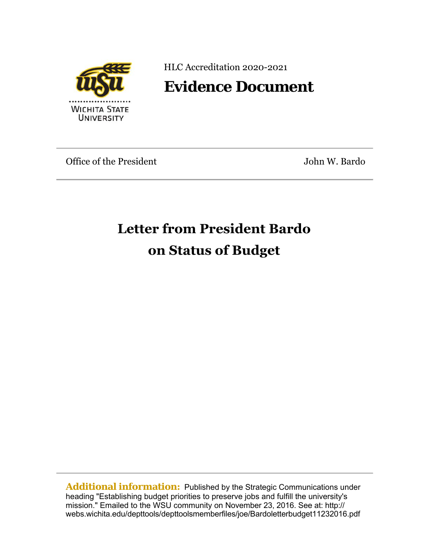

HLC Accreditation 2020-2021

## **Evidence Document**

Office of the President The General Assemblance of the President Assemblance John W. Bardo

## **Letter from President Bardo on Status of Budget**

**Additional information:** Published by the Strategic Communications under heading "Establishing budget priorities to preserve jobs and fulfill the university's mission." Emailed to the WSU community on November 23, 2016. See at: http:// webs.wichita.edu/depttools/depttoolsmemberfiles/joe/Bardoletterbudget11232016.pdf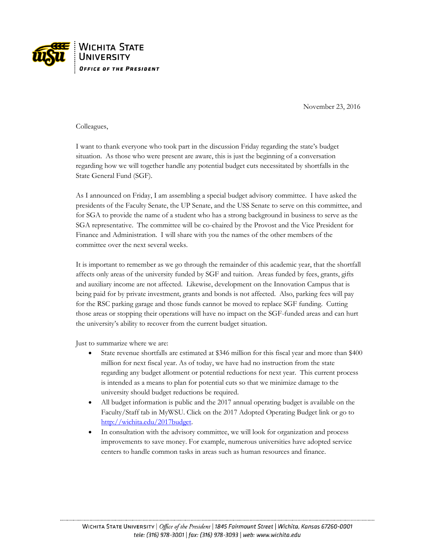

November 23, 2016

Colleagues,

I want to thank everyone who took part in the discussion Friday regarding the state's budget situation. As those who were present are aware, this is just the beginning of a conversation regarding how we will together handle any potential budget cuts necessitated by shortfalls in the State General Fund (SGF).

As I announced on Friday, I am assembling a special budget advisory committee. I have asked the presidents of the Faculty Senate, the UP Senate, and the USS Senate to serve on this committee, and for SGA to provide the name of a student who has a strong background in business to serve as the SGA representative. The committee will be co-chaired by the Provost and the Vice President for Finance and Administration. I will share with you the names of the other members of the committee over the next several weeks.

It is important to remember as we go through the remainder of this academic year, that the shortfall affects only areas of the university funded by SGF and tuition. Areas funded by fees, grants, gifts and auxiliary income are not affected. Likewise, development on the Innovation Campus that is being paid for by private investment, grants and bonds is not affected. Also, parking fees will pay for the RSC parking garage and those funds cannot be moved to replace SGF funding. Cutting those areas or stopping their operations will have no impact on the SGF-funded areas and can hurt the university's ability to recover from the current budget situation.

Just to summarize where we are:

- State revenue shortfalls are estimated at \$346 million for this fiscal year and more than \$400 million for next fiscal year. As of today, we have had no instruction from the state regarding any budget allotment or potential reductions for next year. This current process is intended as a means to plan for potential cuts so that we minimize damage to the university should budget reductions be required.
- All budget information is public and the 2017 annual operating budget is available on the Faculty/Staff tab in MyWSU. Click on the 2017 Adopted Operating Budget link or go to [http://wichita.edu/2017budget.](http://wichita.edu/2017budget)
- In consultation with the advisory committee, we will look for organization and process improvements to save money. For example, numerous universities have adopted service centers to handle common tasks in areas such as human resources and finance.